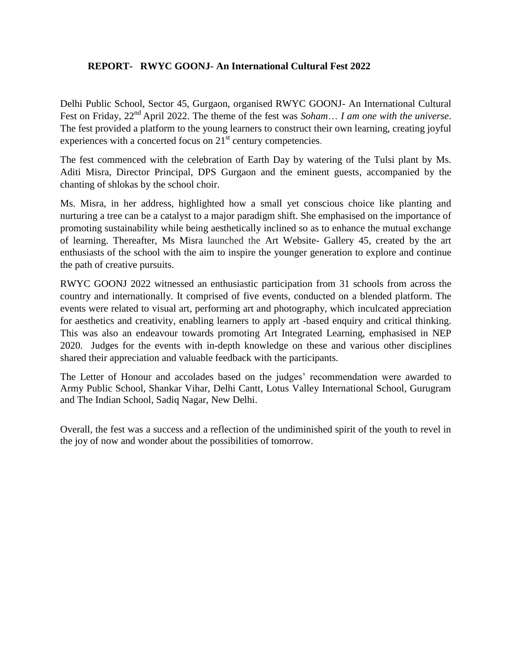## **REPORT- RWYC GOONJ- An International Cultural Fest 2022**

Delhi Public School, Sector 45, Gurgaon, organised RWYC GOONJ- An International Cultural Fest on Friday, 22nd April 2022. The theme of the fest was *Soham*… *I am one with the universe*. The fest provided a platform to the young learners to construct their own learning, creating joyful experiences with a concerted focus on  $21<sup>st</sup>$  century competencies.

The fest commenced with the celebration of Earth Day by watering of the Tulsi plant by Ms. Aditi Misra, Director Principal, DPS Gurgaon and the eminent guests, accompanied by the chanting of shlokas by the school choir.

Ms. Misra, in her address, highlighted how a small yet conscious choice like planting and nurturing a tree can be a catalyst to a major paradigm shift. She emphasised on the importance of promoting sustainability while being aesthetically inclined so as to enhance the mutual exchange of learning. Thereafter, Ms Misra launched the Art Website- Gallery 45, created by the art enthusiasts of the school with the aim to inspire the younger generation to explore and continue the path of creative pursuits.

RWYC GOONJ 2022 witnessed an enthusiastic participation from 31 schools from across the country and internationally. It comprised of five events, conducted on a blended platform. The events were related to visual art, performing art and photography, which inculcated appreciation for aesthetics and creativity, enabling learners to apply art -based enquiry and critical thinking. This was also an endeavour towards promoting Art Integrated Learning, emphasised in NEP 2020. Judges for the events with in-depth knowledge on these and various other disciplines shared their appreciation and valuable feedback with the participants.

The Letter of Honour and accolades based on the judges' recommendation were awarded to Army Public School, Shankar Vihar, Delhi Cantt, Lotus Valley International School, Gurugram and The Indian School, Sadiq Nagar, New Delhi.

Overall, the fest was a success and a reflection of the undiminished spirit of the youth to revel in the joy of now and wonder about the possibilities of tomorrow.